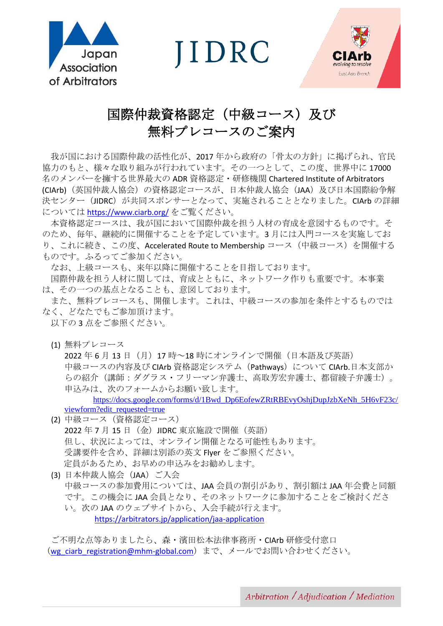

**JIDRC** 



# 国際仲裁資格認定(中級コース)及び 無料プレコースのご案内

我が国における国際仲裁の活性化が、2017 年から政府の「骨太の方針」に掲げられ、官民 協力のもと、様々な取り組みが行われています。その一つとして、この度、世界中に 17000 名のメンバーを擁する世界最大の ADR 資格認定・研修機関 Chartered Institute of Arbitrators (CIArb)(英国仲裁人協会)の資格認定コースが、日本仲裁人協会(JAA)及び日本国際紛争解 決センター(JIDRC)が共同スポンサーとなって、実施されることとなりました。CIArb の詳細 については <https://www.ciarb.org/> をご覧ください。

本資格認定コースは、我が国において国際仲裁を担う人材の育成を意図するものです。そ のため、毎年、継続的に開催することを予定しています。3 月には入門コースを実施してお り、これに続き、この度、Accelerated Route to Membership コース(中級コース)を開催する ものです。ふるってご参加ください。

なお、上級コースも、来年以降に開催することを目指しております。

国際仲裁を担う人材に関しては、育成とともに、ネットワーク作りも重要です。本事業 は、その一つの基点となることも、意図しております。

また、無料プレコースも、開催します。これは、中級コースの参加を条件とするものでは なく、どなたでもご参加頂けます。

以下の 3 点をご参照ください。

(1) 無料プレコース

2022 年 6 月 13 日 (月) 17 時~18 時にオンラインで開催(日本語及び英語) 中級コースの内容及び CIArb 資格認定システム (Pathways) について CIArb.日本支部か らの紹介(講師:ダグラス・フリーマン弁護士、高取芳宏弁護士、都留綾子弁護士)。 申込みは、次のフォームからお願い致します。

[https://docs.google.com/forms/d/1Bwd\\_Dp6EofewZRtRBEvyOshjDupJzbXeNh\\_5H6vF23c/](https://docs.google.com/forms/d/1Bwd_Dp6EofewZRtRBEvyOshjDupJzbXeNh_5H6vF23c/viewform?edit_requested=true) [viewform?edit\\_requested=true](https://docs.google.com/forms/d/1Bwd_Dp6EofewZRtRBEvyOshjDupJzbXeNh_5H6vF23c/viewform?edit_requested=true)

- (2) 中級コース(資格認定コース) 2022 年 7 月 15 日 (金) JIDRC 東京施設で開催 (英語) 但し、状況によっては、オンライン開催となる可能性もあります。 受講要件を含め、詳細は別添の英文 Flyer をご参照ください。 定員があるため、お早めの申込みをお勧めします。
- (3) 日本仲裁人協会 (JAA) ご入会 中級コースの参加費用については、JAA 会員の割引があり、割引額は JAA 年会費と同額 です。この機会に JAA 会員となり、そのネットワークに参加することをご検討くださ い。次の JAA のウェブサイトから、入会手続が行えます。 <https://arbitrators.jp/application/jaa-application>

ご不明な点等ありましたら、森・濱田松本法律事務所・CIArb 研修受付窓口 ([wg\\_ciarb\\_registration@mhm-global.com](mailto:wg_ciarb_registration@mhm-global.com))まで、メールでお問い合わせください。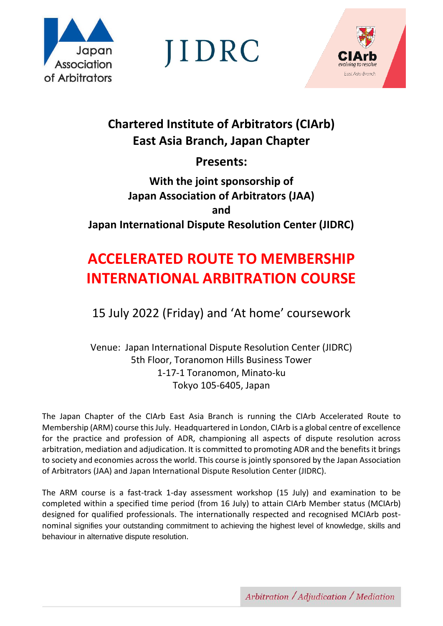

JIDRC



# **Chartered Institute of Arbitrators (CIArb) East Asia Branch, Japan Chapter**

**Presents:**

# **With the joint sponsorship of Japan Association of Arbitrators (JAA) and Japan International Dispute Resolution Center (JIDRC)**

# **ACCELERATED ROUTE TO MEMBERSHIP INTERNATIONAL ARBITRATION COURSE**

15 July 2022 (Friday) and 'At home' coursework

Venue: Japan International Dispute Resolution Center (JIDRC) 5th Floor, Toranomon Hills Business Tower 1-17-1 Toranomon, Minato-ku Tokyo 105-6405, Japan

The Japan Chapter of the CIArb East Asia Branch is running the CIArb Accelerated Route to Membership (ARM) course this July. Headquartered in London, CIArb is a global centre of excellence for the practice and profession of ADR, championing all aspects of dispute resolution across arbitration, mediation and adjudication. It is committed to promoting ADR and the benefits it brings to society and economies across the world. This course is jointly sponsored by the Japan Association of Arbitrators (JAA) and Japan International Dispute Resolution Center (JIDRC).

The ARM course is a fast-track 1-day assessment workshop (15 July) and examination to be completed within a specified time period (from 16 July) to attain CIArb Member status (MCIArb) designed for qualified professionals. The internationally respected and recognised MCIArb postnominal signifies your outstanding commitment to achieving the highest level of knowledge, skills and behaviour in alternative dispute resolution.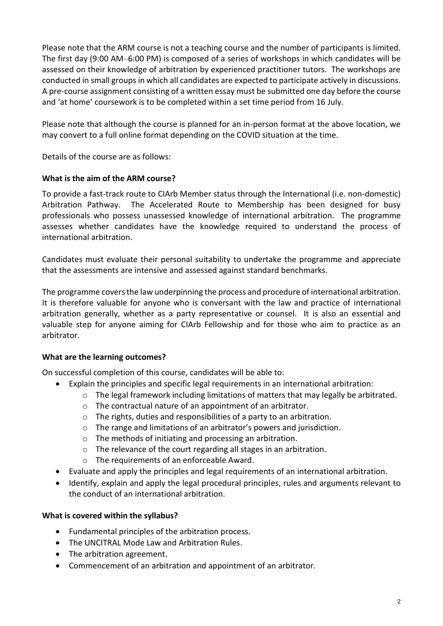Please note that the ARM course is not a teaching course and the number of participants is limited. The first day (9:00 AM–6:00 PM) is composed of a series of workshops in which candidates will be assessed on their knowledge of arbitration by experienced practitioner tutors. The workshops are conducted in small groups in which all candidates are expected to participate actively in discussions. A pre-course assignment consisting of a written essay must be submitted one day before the course and 'at home' coursework is to be completed within a set time period from 16 July.

Please note that although the course is planned for an in-person format at the above location, we may convert to a full online format depending on the COVID situation at the time.

Details of the course are as follows:

#### **What is the aim of the ARM course?**

To provide a fast-track route to CIArb Member status through the International (i.e. non-domestic) Arbitration Pathway. The Accelerated Route to Membership has been designed for busy professionals who possess unassessed knowledge of international arbitration. The programme assesses whether candidates have the knowledge required to understand the process of international arbitration.

Candidates must evaluate their personal suitability to undertake the programme and appreciate that the assessments are intensive and assessed against standard benchmarks.

The programme covers the law underpinning the process and procedure of international arbitration. It is therefore valuable for anyone who is conversant with the law and practice of international arbitration generally, whether as a party representative or counsel. It is also an essential and valuable step for anyone aiming for CIArb Fellowship and for those who aim to practice as an arbitrator.

#### **What are the learning outcomes?**

On successful completion of this course, candidates will be able to:

- Explain the principles and specific legal requirements in an international arbitration:
	- $\circ$  The legal framework including limitations of matters that may legally be arbitrated.
	- o The contractual nature of an appointment of an arbitrator.
	- o The rights, duties and responsibilities of a party to an arbitration.
	- o The range and limitations of an arbitrator's powers and jurisdiction.
	- o The methods of initiating and processing an arbitration.
	- o The relevance of the court regarding all stages in an arbitration.
	- o The requirements of an enforceable Award.
- Evaluate and apply the principles and legal requirements of an international arbitration.
- Identify, explain and apply the legal procedural principles, rules and arguments relevant to the conduct of an international arbitration.

#### **What is covered within the syllabus?**

- Fundamental principles of the arbitration process.
- The UNCITRAL Mode Law and Arbitration Rules.
- The arbitration agreement.
- Commencement of an arbitration and appointment of an arbitrator.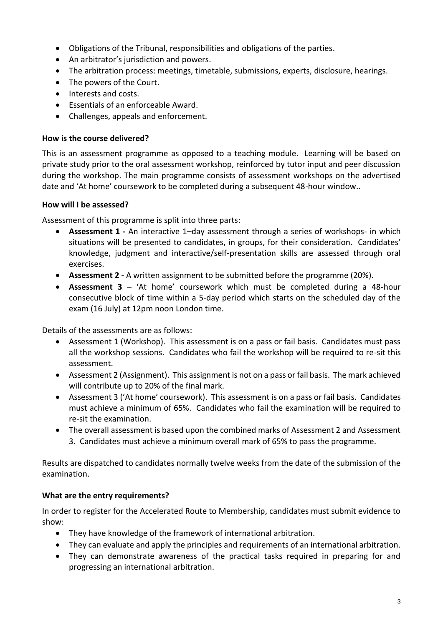- Obligations of the Tribunal, responsibilities and obligations of the parties.
- An arbitrator's jurisdiction and powers.
- The arbitration process: meetings, timetable, submissions, experts, disclosure, hearings.
- The powers of the Court.
- Interests and costs.
- Essentials of an enforceable Award.
- Challenges, appeals and enforcement.

#### **How is the course delivered?**

This is an assessment programme as opposed to a teaching module. Learning will be based on private study prior to the oral assessment workshop, reinforced by tutor input and peer discussion during the workshop. The main programme consists of assessment workshops on the advertised date and 'At home' coursework to be completed during a subsequent 48-hour window..

#### **How will I be assessed?**

Assessment of this programme is split into three parts:

- **Assessment 1 -** An interactive 1–day assessment through a series of workshops- in which situations will be presented to candidates, in groups, for their consideration. Candidates' knowledge, judgment and interactive/self-presentation skills are assessed through oral exercises.
- **Assessment 2 -** A written assignment to be submitted before the programme (20%).
- **Assessment 3 –** 'At home' coursework which must be completed during a 48-hour consecutive block of time within a 5-day period which starts on the scheduled day of the exam (16 July) at 12pm noon London time.

Details of the assessments are as follows:

- Assessment 1 (Workshop). This assessment is on a pass or fail basis. Candidates must pass all the workshop sessions. Candidates who fail the workshop will be required to re-sit this assessment.
- Assessment 2 (Assignment). This assignment is not on a pass or fail basis. The mark achieved will contribute up to 20% of the final mark.
- Assessment 3 ('At home' coursework). This assessment is on a pass or fail basis. Candidates must achieve a minimum of 65%. Candidates who fail the examination will be required to re-sit the examination.
- The overall assessment is based upon the combined marks of Assessment 2 and Assessment 3. Candidates must achieve a minimum overall mark of 65% to pass the programme.

Results are dispatched to candidates normally twelve weeks from the date of the submission of the examination.

#### **What are the entry requirements?**

In order to register for the Accelerated Route to Membership, candidates must submit evidence to show:

- They have knowledge of the framework of international arbitration.
- They can evaluate and apply the principles and requirements of an international arbitration.
- They can demonstrate awareness of the practical tasks required in preparing for and progressing an international arbitration.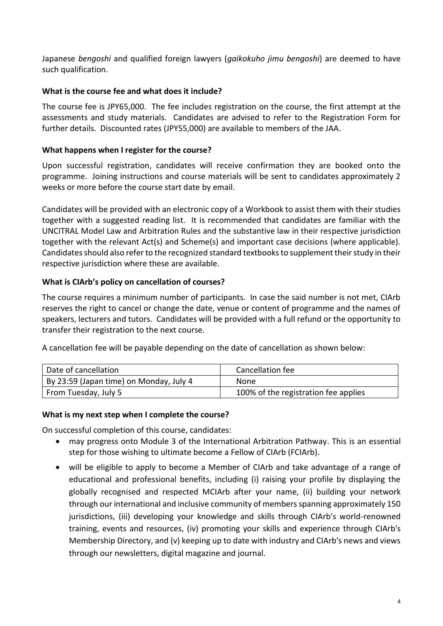Japanese *bengoshi* and qualified foreign lawyers (*gaikokuho jimu bengoshi*) are deemed to have such qualification.

#### **What is the course fee and what does it include?**

The course fee is JPY65,000. The fee includes registration on the course, the first attempt at the assessments and study materials. Candidates are advised to refer to the Registration Form for further details. Discounted rates (JPY55,000) are available to members of the JAA.

### **What happens when I register for the course?**

Upon successful registration, candidates will receive confirmation they are booked onto the programme. Joining instructions and course materials will be sent to candidates approximately 2 weeks or more before the course start date by email.

Candidates will be provided with an electronic copy of a Workbook to assist them with their studies together with a suggested reading list. It is recommended that candidates are familiar with the UNCITRAL Model Law and Arbitration Rules and the substantive law in their respective jurisdiction together with the relevant Act(s) and Scheme(s) and important case decisions (where applicable). Candidates should also refer to the recognized standard textbooks to supplement their study in their respective jurisdiction where these are available.

## **What is CIArb's policy on cancellation of courses?**

The course requires a minimum number of participants. In case the said number is not met, CIArb reserves the right to cancel or change the date, venue or content of programme and the names of speakers, lecturers and tutors. Candidates will be provided with a full refund or the opportunity to transfer their registration to the next course.

A cancellation fee will be payable depending on the date of cancellation as shown below:

| Date of cancellation                    | Cancellation fee                     |
|-----------------------------------------|--------------------------------------|
| By 23:59 (Japan time) on Monday, July 4 | None                                 |
| From Tuesday, July 5                    | 100% of the registration fee applies |

#### **What is my next step when I complete the course?**

On successful completion of this course, candidates:

- may progress onto Module 3 of the International Arbitration Pathway. This is an essential step for those wishing to ultimate become a Fellow of CIArb (FCIArb).
- will be eligible to apply to become a Member of CIArb and take advantage of a range of educational and professional benefits, including (i) raising your profile by displaying the globally recognised and respected MCIArb after your name, (ii) building your network through our international and inclusive community of members spanning approximately 150 jurisdictions, (iii) developing your knowledge and skills through CIArb's world-renowned training, events and resources, (iv) promoting your skills and experience through CIArb's Membership Directory, and (v) keeping up to date with industry and CIArb's news and views through our newsletters, digital magazine and journal.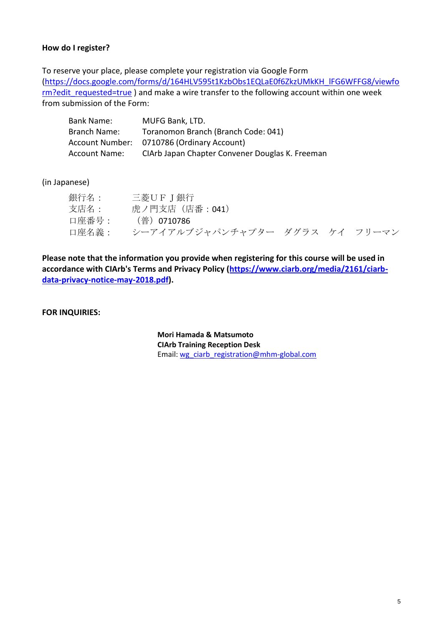#### **How do I register?**

To reserve your place, please complete your registration via Google Form [\(https://docs.google.com/forms/d/164HLV595t1KzbObs1EQLaE0f6ZkzUMkKH\\_lFG6WFFG8/viewfo](https://docs.google.com/forms/d/164HLV595t1KzbObs1EQLaE0f6ZkzUMkKH_lFG6WFFG8/viewform?edit_requested=true) [rm?edit\\_requested=true](https://docs.google.com/forms/d/164HLV595t1KzbObs1EQLaE0f6ZkzUMkKH_lFG6WFFG8/viewform?edit_requested=true) ) and make a wire transfer to the following account within one week from submission of the Form:

| <b>Bank Name:</b>    | MUFG Bank, LTD.                                 |
|----------------------|-------------------------------------------------|
| Branch Name:         | Toranomon Branch (Branch Code: 041)             |
| Account Number:      | 0710786 (Ordinary Account)                      |
| <b>Account Name:</b> | CIArb Japan Chapter Convener Douglas K. Freeman |

#### (in Japanese)

| 銀行名:  | 三菱UFJ銀行                        |  |  |
|-------|--------------------------------|--|--|
| 支店名:  | 虎ノ門支店(店番:041)                  |  |  |
| 口座番号: | (普)0710786                     |  |  |
| 口座名義: | シーアイアルブジャパンチャプター ダグラス ケイ フリーマン |  |  |

**Please note that the information you provide when registering for this course will be used in accordance with CIArb's Terms and Privacy Policy [\(https://www.ciarb.org/media/2161/ciarb](https://www.ciarb.org/media/2161/ciarb-data-privacy-notice-may-2018.pdf)[data-privacy-notice-may-2018.pdf\)](https://www.ciarb.org/media/2161/ciarb-data-privacy-notice-may-2018.pdf).**

**FOR INQUIRIES:**

**Mori Hamada & Matsumoto CIArb Training Reception Desk** Email: [wg\\_ciarb\\_registration@mhm-global.com](mailto:wg_ciarb_registration@mhm-global.com)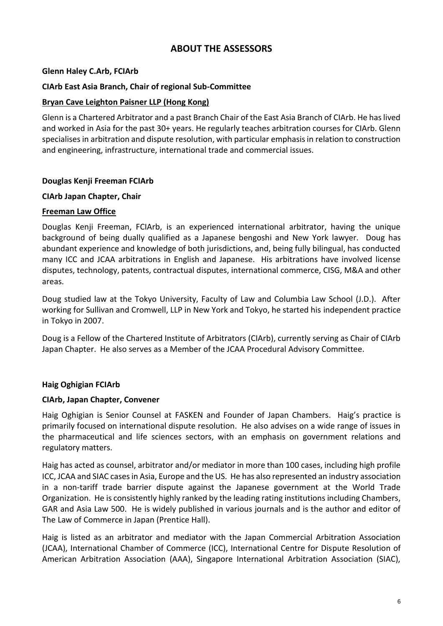## **ABOUT THE ASSESSORS**

#### **Glenn Haley C.Arb, FCIArb**

#### **CIArb East Asia Branch, Chair of regional Sub-Committee**

#### **Bryan Cave Leighton Paisner LLP (Hong Kong)**

Glenn is a Chartered Arbitrator and a past Branch Chair of the East Asia Branch of CIArb. He has lived and worked in Asia for the past 30+ years. He regularly teaches arbitration courses for CIArb. Glenn specialises in arbitration and dispute resolution, with particular emphasis in relation to construction and engineering, infrastructure, international trade and commercial issues.

#### **Douglas Kenji Freeman FCIArb**

#### **CIArb Japan Chapter, Chair**

#### **Freeman Law Office**

Douglas Kenji Freeman, FCIArb, is an experienced international arbitrator, having the unique background of being dually qualified as a Japanese bengoshi and New York lawyer. Doug has abundant experience and knowledge of both jurisdictions, and, being fully bilingual, has conducted many ICC and JCAA arbitrations in English and Japanese. His arbitrations have involved license disputes, technology, patents, contractual disputes, international commerce, CISG, M&A and other areas.

Doug studied law at the Tokyo University, Faculty of Law and Columbia Law School (J.D.). After working for Sullivan and Cromwell, LLP in New York and Tokyo, he started his independent practice in Tokyo in 2007.

Doug is a Fellow of the Chartered Institute of Arbitrators (CIArb), currently serving as Chair of CIArb Japan Chapter. He also serves as a Member of the JCAA Procedural Advisory Committee.

#### **Haig Oghigian FCIArb**

#### **CIArb, Japan Chapter, Convener**

Haig Oghigian is Senior Counsel at FASKEN and Founder of Japan Chambers. Haig's practice is primarily focused on international dispute resolution. He also advises on a wide range of issues in the pharmaceutical and life sciences sectors, with an emphasis on government relations and regulatory matters.

Haig has acted as counsel, arbitrator and/or mediator in more than 100 cases, including high profile ICC, JCAA and SIAC cases in Asia, Europe and the US. He has also represented an industry association in a non-tariff trade barrier dispute against the Japanese government at the World Trade Organization. He is consistently highly ranked by the leading rating institutions including Chambers, GAR and Asia Law 500. He is widely published in various journals and is the author and editor of The Law of Commerce in Japan (Prentice Hall).

Haig is listed as an arbitrator and mediator with the Japan Commercial Arbitration Association (JCAA), International Chamber of Commerce (ICC), International Centre for Dispute Resolution of American Arbitration Association (AAA), Singapore International Arbitration Association (SIAC),